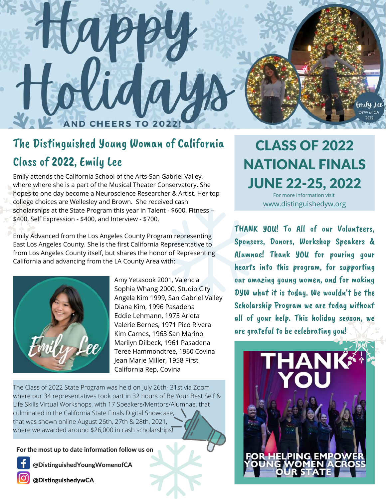

## The Distinguished Young Woman of California Class of 2022, Emily Lee

Emily attends the California School of the Arts-San Gabriel Valley, where where she is a part of the Musical Theater Conservatory. She hopes to one day become a Neuroscience Researcher & Artist. Her top college choices are Wellesley and Brown. She received cash scholarships at the State Program this year in Talent - \$600, Fitness – \$400, Self Expression - \$400, and Interview - \$700.

Emily Advanced from the Los Angeles County Program representing East Los Angeles County. She is the first California Representative to from Los Angeles County itself, but shares the honor of Representing California and advancing from the LA County Area with:



Amy Yetasook 2001, Valencia Sophia Whang 2000, Studio City Angela Kim 1999, San Gabriel Valley Diana Kim, 1996 Pasadena Eddie Lehmann, 1975 Arleta Valerie Bernes, 1971 Pico Rivera Kim Carnes, 1963 San Marino Marilyn Dilbeck, 1961 Pasadena Teree Hammondtree, 1960 Covina Jean Marie Miller, 1958 First California Rep, Covina

The Class of 2022 State Program was held on July 26th- 31st via Zoom where our 34 representatives took part in 32 hours of Be Your Best Self & Life Skills Virtual Workshops, with 17 Speakers/Mentors/Alumnae, that culminated in the California State Finals Digital Showcase, that was shown online August 26th, 27th & 28th, 2021, where we awarded around \$26,000 in cash scholarships!

For the most up to date information follow us on

@DistinguishedYoungWomenofCA

@DistinguishedywCA

CLASS OF 2022 NATIONAL FINALS JUNE 22-25, 2022 For more information visit

[www.distinguishedyw.org](https://distinguishedyw.org/programs/national-finals/)

THANK YOU! To All of our Volunteers. Sponsors, Donors, Workshop Speakers & Alumnae! Thank YOU for pouring your hearts into this program, for supporting our amazing young women, and for making DYW what it is today. We wouldn't be the Scholarship Program we are today without all of your help. This holiday season, we are grateful to be celebrating you!